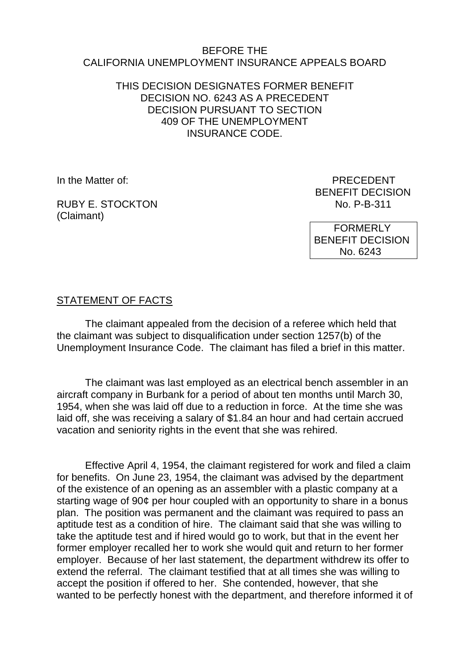## BEFORE THE CALIFORNIA UNEMPLOYMENT INSURANCE APPEALS BOARD

## THIS DECISION DESIGNATES FORMER BENEFIT DECISION NO. 6243 AS A PRECEDENT DECISION PURSUANT TO SECTION 409 OF THE UNEMPLOYMENT INSURANCE CODE.

In the Matter of: **PRECEDENT** 

RUBY E. STOCKTON (Claimant)

BENEFIT DECISION<br>No. P-B-311

 FORMERLY BENEFIT DECISION No. 6243

## STATEMENT OF FACTS

The claimant appealed from the decision of a referee which held that the claimant was subject to disqualification under section 1257(b) of the Unemployment Insurance Code. The claimant has filed a brief in this matter.

The claimant was last employed as an electrical bench assembler in an aircraft company in Burbank for a period of about ten months until March 30, 1954, when she was laid off due to a reduction in force. At the time she was laid off, she was receiving a salary of \$1.84 an hour and had certain accrued vacation and seniority rights in the event that she was rehired.

Effective April 4, 1954, the claimant registered for work and filed a claim for benefits. On June 23, 1954, the claimant was advised by the department of the existence of an opening as an assembler with a plastic company at a starting wage of 90¢ per hour coupled with an opportunity to share in a bonus plan. The position was permanent and the claimant was required to pass an aptitude test as a condition of hire. The claimant said that she was willing to take the aptitude test and if hired would go to work, but that in the event her former employer recalled her to work she would quit and return to her former employer. Because of her last statement, the department withdrew its offer to extend the referral. The claimant testified that at all times she was willing to accept the position if offered to her. She contended, however, that she wanted to be perfectly honest with the department, and therefore informed it of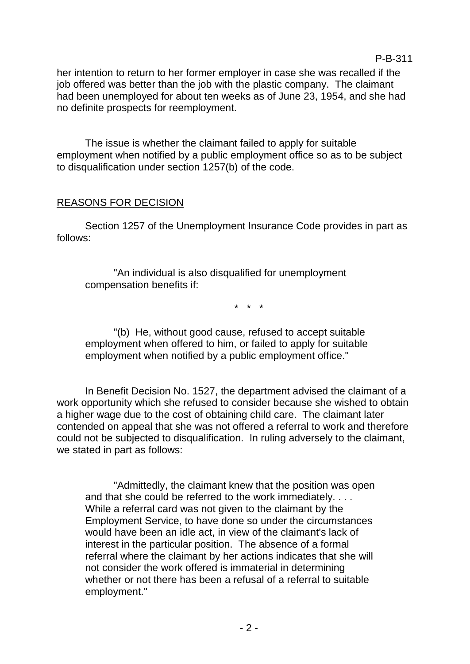her intention to return to her former employer in case she was recalled if the job offered was better than the job with the plastic company. The claimant had been unemployed for about ten weeks as of June 23, 1954, and she had no definite prospects for reemployment.

P-B-311

The issue is whether the claimant failed to apply for suitable employment when notified by a public employment office so as to be subject to disqualification under section 1257(b) of the code.

## REASONS FOR DECISION

Section 1257 of the Unemployment Insurance Code provides in part as follows:

"An individual is also disqualified for unemployment compensation benefits if:

\* \* \*

"(b) He, without good cause, refused to accept suitable employment when offered to him, or failed to apply for suitable employment when notified by a public employment office."

In Benefit Decision No. 1527, the department advised the claimant of a work opportunity which she refused to consider because she wished to obtain a higher wage due to the cost of obtaining child care. The claimant later contended on appeal that she was not offered a referral to work and therefore could not be subjected to disqualification. In ruling adversely to the claimant, we stated in part as follows:

"Admittedly, the claimant knew that the position was open and that she could be referred to the work immediately. . . . While a referral card was not given to the claimant by the Employment Service, to have done so under the circumstances would have been an idle act, in view of the claimant's lack of interest in the particular position. The absence of a formal referral where the claimant by her actions indicates that she will not consider the work offered is immaterial in determining whether or not there has been a refusal of a referral to suitable employment."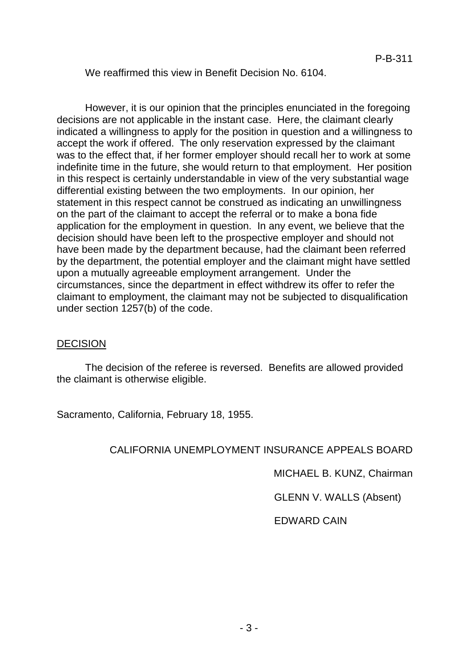#### We reaffirmed this view in Benefit Decision No. 6104.

However, it is our opinion that the principles enunciated in the foregoing decisions are not applicable in the instant case. Here, the claimant clearly indicated a willingness to apply for the position in question and a willingness to accept the work if offered. The only reservation expressed by the claimant was to the effect that, if her former employer should recall her to work at some indefinite time in the future, she would return to that employment. Her position in this respect is certainly understandable in view of the very substantial wage differential existing between the two employments. In our opinion, her statement in this respect cannot be construed as indicating an unwillingness on the part of the claimant to accept the referral or to make a bona fide application for the employment in question. In any event, we believe that the decision should have been left to the prospective employer and should not have been made by the department because, had the claimant been referred by the department, the potential employer and the claimant might have settled upon a mutually agreeable employment arrangement. Under the circumstances, since the department in effect withdrew its offer to refer the claimant to employment, the claimant may not be subjected to disqualification under section 1257(b) of the code.

#### DECISION

The decision of the referee is reversed. Benefits are allowed provided the claimant is otherwise eligible.

Sacramento, California, February 18, 1955.

## CALIFORNIA UNEMPLOYMENT INSURANCE APPEALS BOARD

MICHAEL B. KUNZ, Chairman

GLENN V. WALLS (Absent)

EDWARD CAIN